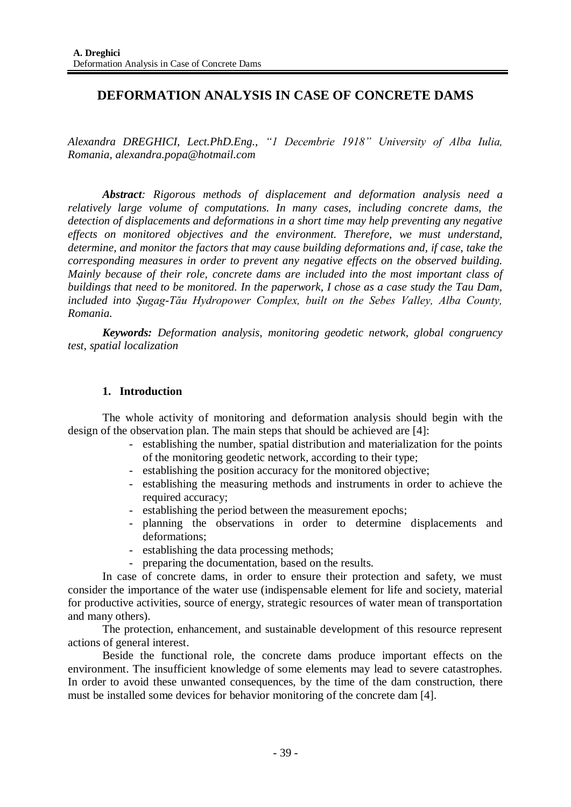# **DEFORMATION ANALYSIS IN CASE OF CONCRETE DAMS**

*Alexandra DREGHICI, Lect.PhD.Eng., "1 Decembrie 1918" University of Alba Iulia, Romania, [alexandra.popa@hotmail.com](mailto:alexandra.popa@hotmail.com)*

*Abstract: Rigorous methods of displacement and deformation analysis need a relatively large volume of computations. In many cases, including concrete dams, the detection of displacements and deformations in a short time may help preventing any negative effects on monitored objectives and the environment. Therefore, we must understand, determine, and monitor the factors that may cause building deformations and, if case, take the corresponding measures in order to prevent any negative effects on the observed building. Mainly because of their role, concrete dams are included into the most important class of buildings that need to be monitored. In the paperwork, I chose as a case study the Tau Dam, included into Şugag-Tău Hydropower Complex, built on the Sebes Valley, Alba County, Romania.*

*Keywords: Deformation analysis, monitoring geodetic network, global congruency test, spatial localization* 

## **1. Introduction**

The whole activity of monitoring and deformation analysis should begin with the design of the observation plan. The main steps that should be achieved are [4]:

- establishing the number, spatial distribution and materialization for the points of the monitoring geodetic network, according to their type;
- establishing the position accuracy for the monitored objective;
- establishing the measuring methods and instruments in order to achieve the required accuracy;
- establishing the period between the measurement epochs;
- planning the observations in order to determine displacements and deformations;
- establishing the data processing methods;
- preparing the documentation, based on the results.

In case of concrete dams, in order to ensure their protection and safety, we must consider the importance of the water use (indispensable element for life and society, material for productive activities, source of energy, strategic resources of water mean of transportation and many others).

The protection, enhancement, and sustainable development of this resource represent actions of general interest.

Beside the functional role, the concrete dams produce important effects on the environment. The insufficient knowledge of some elements may lead to severe catastrophes. In order to avoid these unwanted consequences, by the time of the dam construction, there must be installed some devices for behavior monitoring of the concrete dam [4].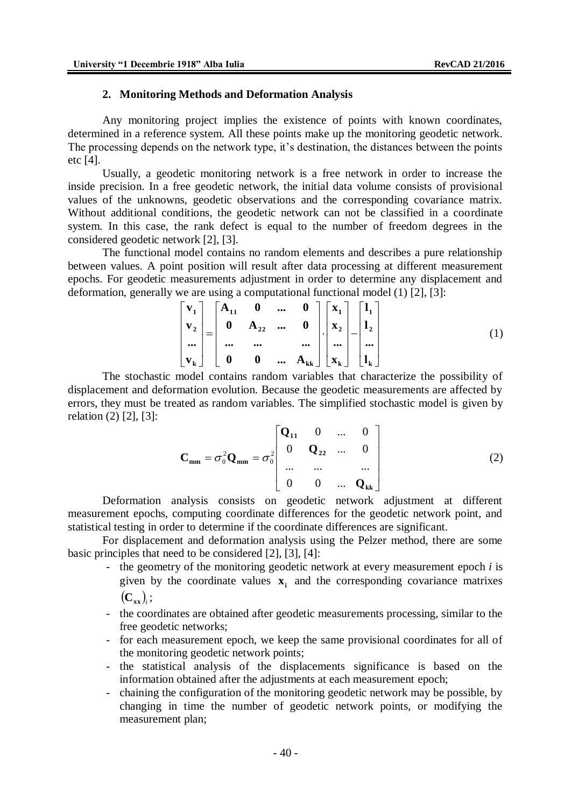#### **2. Monitoring Methods and Deformation Analysis**

Any monitoring project implies the existence of points with known coordinates, determined in a reference system. All these points make up the monitoring geodetic network. The processing depends on the network type, it's destination, the distances between the points etc [4].

Usually, a geodetic monitoring network is a free network in order to increase the inside precision. In a free geodetic network, the initial data volume consists of provisional values of the unknowns, geodetic observations and the corresponding covariance matrix. Without additional conditions, the geodetic network can not be classified in a coordinate system. In this case, the rank defect is equal to the number of freedom degrees in the considered geodetic network [2], [3].

The functional model contains no random elements and describes a pure relationship between values. A point position will result after data processing at different measurement epochs. For geodetic measurements adjustment in order to determine any displacement and deformation, generally we are using a computational functional model (1) [2], [3]:

$$
\begin{bmatrix} \mathbf{v}_1 \\ \mathbf{v}_2 \\ \cdots \\ \mathbf{v}_k \end{bmatrix} = \begin{bmatrix} \mathbf{A}_{11} & \mathbf{0} & \cdots & \mathbf{0} \\ \mathbf{0} & \mathbf{A}_{22} & \cdots & \mathbf{0} \\ \cdots & \cdots & & \cdots \\ \mathbf{0} & \mathbf{0} & \cdots & \mathbf{A}_{kk} \end{bmatrix} \begin{bmatrix} \mathbf{x}_1 \\ \mathbf{x}_2 \\ \cdots \\ \mathbf{x}_k \end{bmatrix} - \begin{bmatrix} \mathbf{l}_1 \\ \mathbf{l}_2 \\ \cdots \\ \mathbf{l}_k \end{bmatrix}
$$
 (1)

The stochastic model contains random variables that characterize the possibility of displacement and deformation evolution. Because the geodetic measurements are affected by errors, they must be treated as random variables. The simplified stochastic model is given by relation (2) [2], [3]:

$$
\mathbf{C}_{\text{mm}} = \sigma_0^2 \mathbf{Q}_{\text{mm}} = \sigma_0^2 \begin{bmatrix} \mathbf{Q}_{11} & 0 & \dots & 0 \\ 0 & \mathbf{Q}_{22} & \dots & 0 \\ \dots & \dots & \dots & \dots \\ 0 & 0 & \dots & \mathbf{Q}_{kk} \end{bmatrix}
$$
 (2)

Deformation analysis consists on geodetic network adjustment at different measurement epochs, computing coordinate differences for the geodetic network point, and statistical testing in order to determine if the coordinate differences are significant.

For displacement and deformation analysis using the Pelzer method, there are some basic principles that need to be considered [2], [3], [4]:

- the geometry of the monitoring geodetic network at every measurement epoch *i* is given by the coordinate values  $\mathbf{x}_i$  and the corresponding covariance matrixes  $\left(\mathbf{C}_{\mathbf{x}\mathbf{x}}\right)_{\!i};$
- the coordinates are obtained after geodetic measurements processing, similar to the free geodetic networks;
- for each measurement epoch, we keep the same provisional coordinates for all of the monitoring geodetic network points;
- the statistical analysis of the displacements significance is based on the information obtained after the adjustments at each measurement epoch;
- chaining the configuration of the monitoring geodetic network may be possible, by changing in time the number of geodetic network points, or modifying the measurement plan;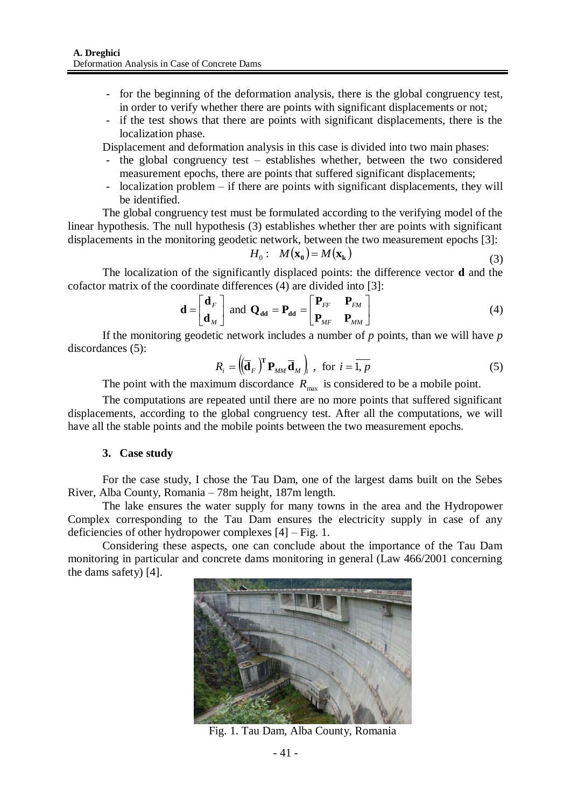- for the beginning of the deformation analysis, there is the global congruency test, in order to verify whether there are points with significant displacements or not;
- if the test shows that there are points with significant displacements, there is the localization phase.

Displacement and deformation analysis in this case is divided into two main phases:

- the global congruency test establishes whether, between the two considered measurement epochs, there are points that suffered significant displacements;
- localization problem if there are points with significant displacements, they will be identified.

The global congruency test must be formulated according to the verifying model of the linear hypothesis. The null hypothesis (3) establishes whether ther are points with significant displacements in the monitoring geodetic network, between the two measurement epochs [3]:

$$
H_0: M(\mathbf{x}_0) = M(\mathbf{x}_k)
$$
\n(3)

The localization of the significantly displaced points: the difference vector **d** and the cofactor matrix of the coordinate differences (4) are divided into [3]:

$$
\mathbf{d} = \begin{bmatrix} \mathbf{d}_F \\ \mathbf{d}_M \end{bmatrix} \text{ and } \mathbf{Q}_{\mathbf{d}\mathbf{d}} = \mathbf{P}_{\mathbf{d}\mathbf{d}} = \begin{bmatrix} \mathbf{P}_{FF} & \mathbf{P}_{FM} \\ \mathbf{P}_{MF} & \mathbf{P}_{MM} \end{bmatrix}
$$
(4)

If the monitoring geodetic network includes a number of *p* points, than we will have *p* discordances (5):

$$
R_i = \left( \left( \overline{\mathbf{d}}_F \right)^{\mathrm{T}} \mathbf{P}_{MM} \overline{\mathbf{d}}_M \right)_i, \text{ for } i = \overline{1, p}
$$
 (5)

The point with the maximum discordance  $R_{\text{max}}$  is considered to be a mobile point.

The computations are repeated until there are no more points that suffered significant displacements, according to the global congruency test. After all the computations, we will have all the stable points and the mobile points between the two measurement epochs.

### **3. Case study**

For the case study, I chose the Tau Dam, one of the largest dams built on the Sebes River, Alba County, Romania – 78m height, 187m length.

The lake ensures the water supply for many towns in the area and the Hydropower Complex corresponding to the Tau Dam ensures the electricity supply in case of any deficiencies of other hydropower complexes [4] – Fig. 1.

Considering these aspects, one can conclude about the importance of the Tau Dam monitoring in particular and concrete dams monitoring in general (Law 466/2001 concerning the dams safety) [4].



Fig. 1. Tau Dam, Alba County, Romania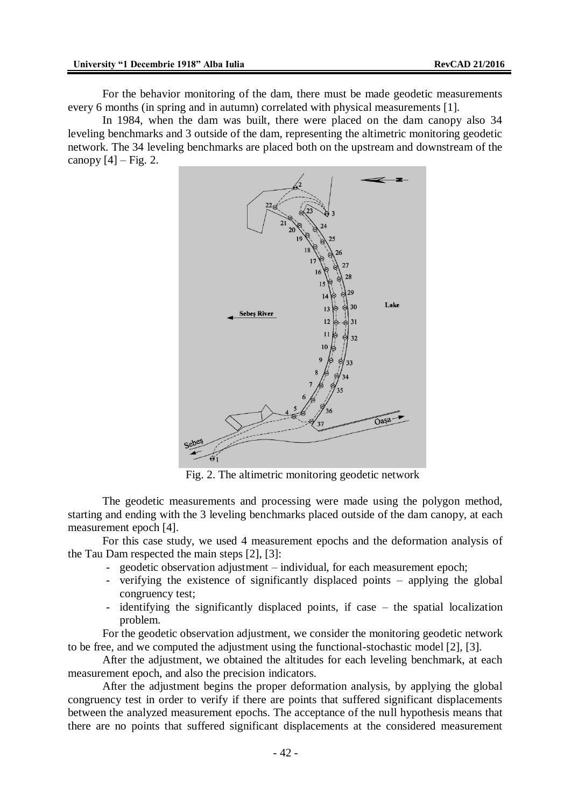For the behavior monitoring of the dam, there must be made geodetic measurements every 6 months (in spring and in autumn) correlated with physical measurements [1].

In 1984, when the dam was built, there were placed on the dam canopy also 34 leveling benchmarks and 3 outside of the dam, representing the altimetric monitoring geodetic network. The 34 leveling benchmarks are placed both on the upstream and downstream of the canopy  $[4]$  – Fig. 2.



Fig. 2. The altimetric monitoring geodetic network

The geodetic measurements and processing were made using the polygon method, starting and ending with the 3 leveling benchmarks placed outside of the dam canopy, at each measurement epoch [4].

For this case study, we used 4 measurement epochs and the deformation analysis of the Tau Dam respected the main steps [2], [3]:

- geodetic observation adjustment individual, for each measurement epoch;
- verifying the existence of significantly displaced points applying the global congruency test;
- identifying the significantly displaced points, if case the spatial localization problem.

For the geodetic observation adjustment, we consider the monitoring geodetic network to be free, and we computed the adjustment using the functional-stochastic model [2], [3].

After the adjustment, we obtained the altitudes for each leveling benchmark, at each measurement epoch, and also the precision indicators.

After the adjustment begins the proper deformation analysis, by applying the global congruency test in order to verify if there are points that suffered significant displacements between the analyzed measurement epochs. The acceptance of the null hypothesis means that there are no points that suffered significant displacements at the considered measurement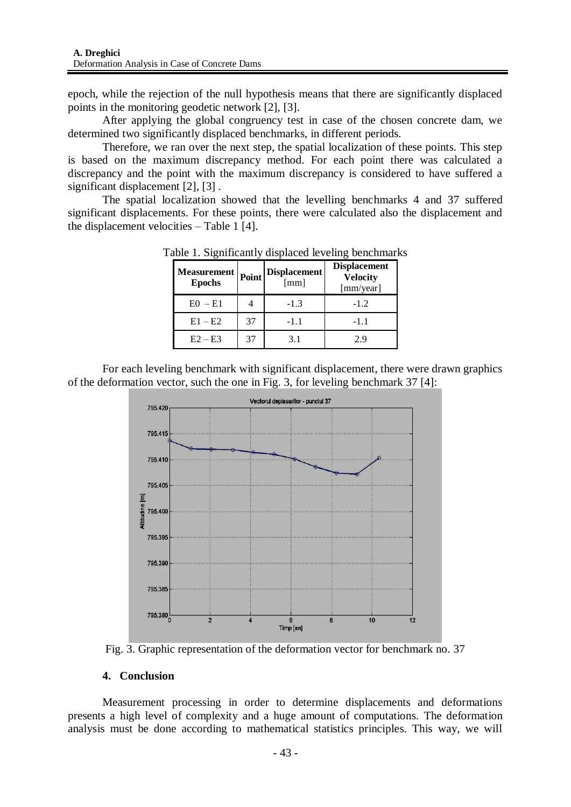epoch, while the rejection of the null hypothesis means that there are significantly displaced points in the monitoring geodetic network [2], [3].

After applying the global congruency test in case of the chosen concrete dam, we determined two significantly displaced benchmarks, in different periods.

Therefore, we ran over the next step, the spatial localization of these points. This step is based on the maximum discrepancy method. For each point there was calculated a discrepancy and the point with the maximum discrepancy is considered to have suffered a significant displacement [2], [3].

The spatial localization showed that the levelling benchmarks 4 and 37 suffered significant displacements. For these points, there were calculated also the displacement and the displacement velocities – Table 1 [4].

| <b>Measurement</b><br><b>Epochs</b> | Point | <b>Displacement</b><br>[mm] | <b>Displacement</b><br><b>Velocity</b><br>[mm/year] |
|-------------------------------------|-------|-----------------------------|-----------------------------------------------------|
| $E0 - E1$                           |       | $-1.3$                      | $-1.2$                                              |
| $E1 - E2$                           | 37    | $-1.1$                      | $-1.1$                                              |
| $E2 - E3$                           | 37    | 3.1                         | 29                                                  |

Table 1. Significantly displaced leveling benchmarks

For each leveling benchmark with significant displacement, there were drawn graphics of the deformation vector, such the one in Fig. 3, for leveling benchmark 37 [4]:



Fig. 3. Graphic representation of the deformation vector for benchmark no. 37

# **4. Conclusion**

Measurement processing in order to determine displacements and deformations presents a high level of complexity and a huge amount of computations. The deformation analysis must be done according to mathematical statistics principles. This way, we will